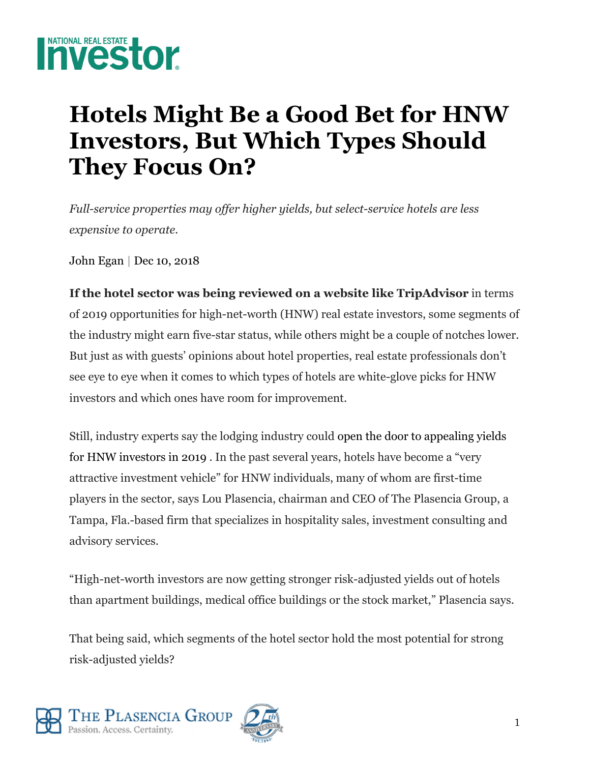

## **Hotels Might Be a Good Bet for HNW Investors, But Which Types Should They Focus On?**

*Full-service properties may offer higher yields, but select-service hotels are less expensive to operate.* 

John Egan | Dec 10, 2018

**If the hotel sector was being reviewed on a website like TripAdvisor** in terms of 2019 opportunities for high-net-worth (HNW) real estate investors, some segments of the industry might earn five-star status, while others might be a couple of notches lower. But just as with guests' opinions about hotel properties, real estate professionals don't see eye to eye when it comes to which types of hotels are white-glove picks for HNW investors and which ones have room for improvement.

Still, industry experts say the lodging industry could open the door to appealing yields for HNW investors in 2019 . In the past several years, hotels have become a "very attractive investment vehicle" for HNW individuals, many of whom are first-time players in the sector, says Lou Plasencia, chairman and CEO of The Plasencia Group, a Tampa, Fla.-based firm that specializes in hospitality sales, investment consulting and advisory services.

"High-net-worth investors are now getting stronger risk-adjusted yields out of hotels than apartment buildings, medical office buildings or the stock market," Plasencia says.

That being said, which segments of the hotel sector hold the most potential for strong risk-adjusted yields?



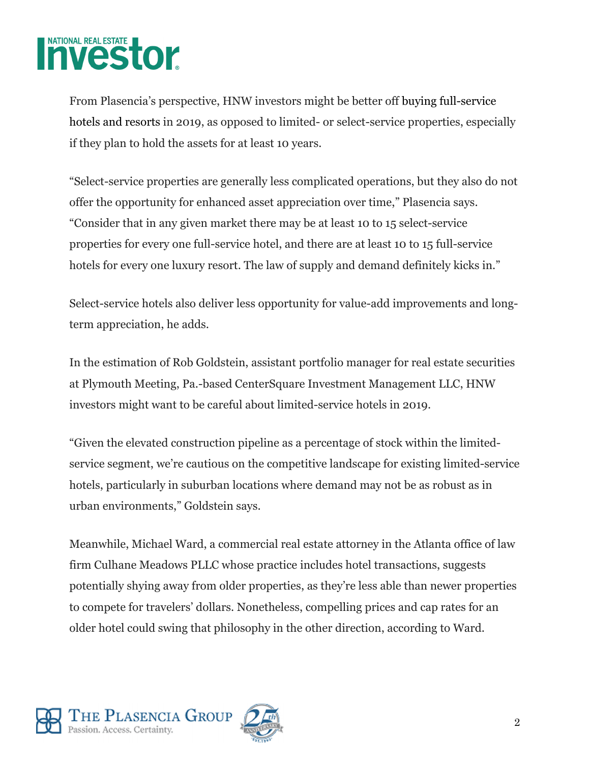

From Plasencia's perspective, HNW investors might be better off buying full-service hotels and resorts in 2019, as opposed to limited- or select-service properties, especially if they plan to hold the assets for at least 10 years.

"Select-service properties are generally less complicated operations, but they also do not offer the opportunity for enhanced asset appreciation over time," Plasencia says. "Consider that in any given market there may be at least 10 to 15 select-service properties for every one full-service hotel, and there are at least 10 to 15 full-service hotels for every one luxury resort. The law of supply and demand definitely kicks in."

Select-service hotels also deliver less opportunity for value-add improvements and longterm appreciation, he adds.

In the estimation of Rob Goldstein, assistant portfolio manager for real estate securities at Plymouth Meeting, Pa.-based CenterSquare Investment Management LLC, HNW investors might want to be careful about limited-service hotels in 2019.

"Given the elevated construction pipeline as a percentage of stock within the limitedservice segment, we're cautious on the competitive landscape for existing limited-service hotels, particularly in suburban locations where demand may not be as robust as in urban environments," Goldstein says.

Meanwhile, Michael Ward, a commercial real estate attorney in the Atlanta office of law firm Culhane Meadows PLLC whose practice includes hotel transactions, suggests potentially shying away from older properties, as they're less able than newer properties to compete for travelers' dollars. Nonetheless, compelling prices and cap rates for an older hotel could swing that philosophy in the other direction, according to Ward.



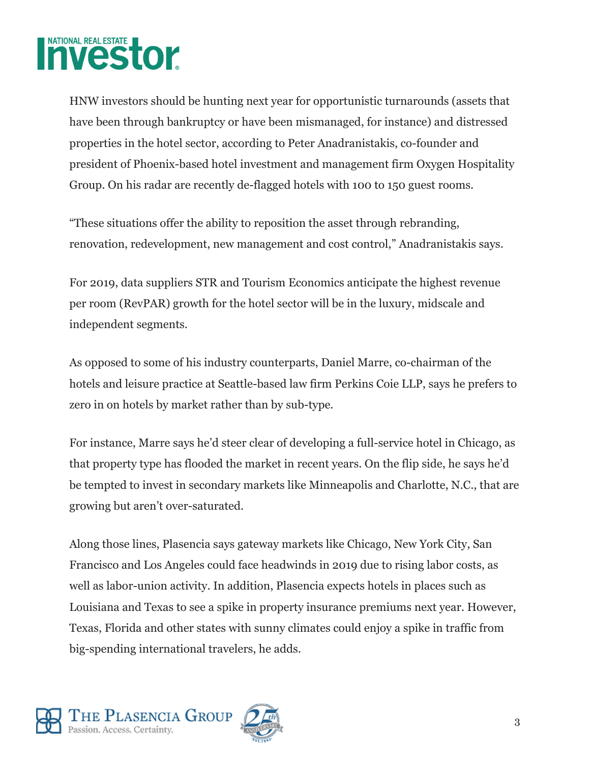

HNW investors should be hunting next year for opportunistic turnarounds (assets that have been through bankruptcy or have been mismanaged, for instance) and distressed properties in the hotel sector, according to Peter Anadranistakis, co-founder and president of Phoenix-based hotel investment and management firm Oxygen Hospitality Group. On his radar are recently de-flagged hotels with 100 to 150 guest rooms.

"These situations offer the ability to reposition the asset through rebranding, renovation, redevelopment, new management and cost control," Anadranistakis says.

For 2019, data suppliers STR and Tourism Economics anticipate the highest revenue per room (RevPAR) growth for the hotel sector will be in the luxury, midscale and independent segments.

As opposed to some of his industry counterparts, Daniel Marre, co-chairman of the hotels and leisure practice at Seattle-based law firm Perkins Coie LLP, says he prefers to zero in on hotels by market rather than by sub-type.

For instance, Marre says he'd steer clear of developing a full-service hotel in Chicago, as that property type has flooded the market in recent years. On the flip side, he says he'd be tempted to invest in secondary markets like Minneapolis and Charlotte, N.C., that are growing but aren't over-saturated.

Along those lines, Plasencia says gateway markets like Chicago, New York City, San Francisco and Los Angeles could face headwinds in 2019 due to rising labor costs, as well as labor-union activity. In addition, Plasencia expects hotels in places such as Louisiana and Texas to see a spike in property insurance premiums next year. However, Texas, Florida and other states with sunny climates could enjoy a spike in traffic from big-spending international travelers, he adds.

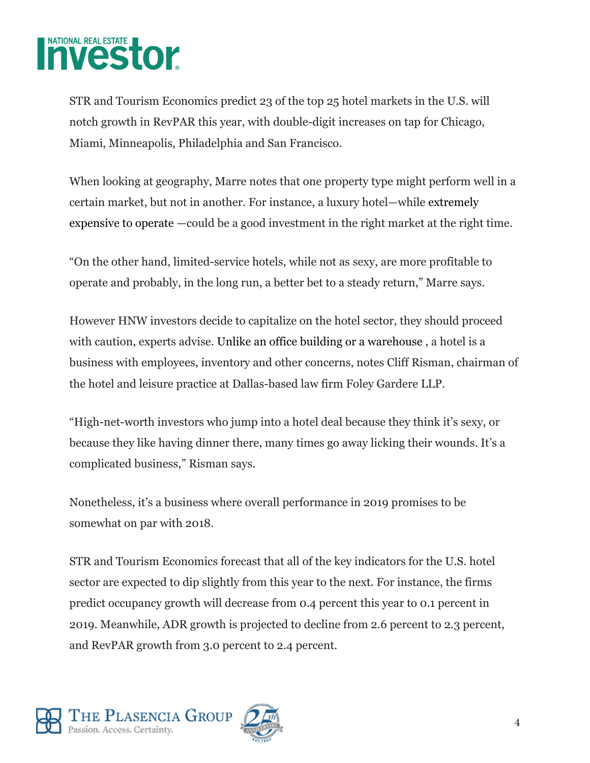

STR and Tourism Economics predict 23 of the top 25 hotel markets in the U.S. will notch growth in RevPAR this year, with double-digit increases on tap for Chicago, Miami, Minneapolis, Philadelphia and San Francisco.

When looking at geography, Marre notes that one property type might perform well in a certain market, but not in another. For instance, a luxury hotel—while extremely expensive to operate —could be a good investment in the right market at the right time.

"On the other hand, limited-service hotels, while not as sexy, are more profitable to operate and probably, in the long run, a better bet to a steady return," Marre says.

However HNW investors decide to capitalize on the hotel sector, they should proceed with caution, experts advise. Unlike an office building or a warehouse , a hotel is a business with employees, inventory and other concerns, notes Cliff Risman, chairman of the hotel and leisure practice at Dallas-based law firm Foley Gardere LLP.

"High-net-worth investors who jump into a hotel deal because they think it's sexy, or because they like having dinner there, many times go away licking their wounds. It's a complicated business," Risman says.

Nonetheless, it's a business where overall performance in 2019 promises to be somewhat on par with 2018.

STR and Tourism Economics forecast that all of the key indicators for the U.S. hotel sector are expected to dip slightly from this year to the next. For instance, the firms predict occupancy growth will decrease from 0.4 percent this year to 0.1 percent in 2019. Meanwhile, ADR growth is projected to decline from 2.6 percent to 2.3 percent, and RevPAR growth from 3.0 percent to 2.4 percent.